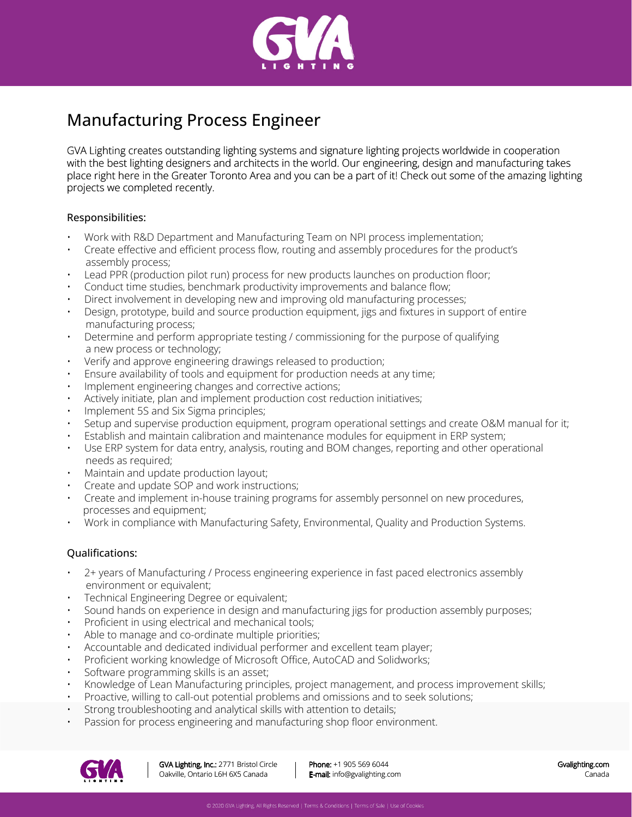

## Manufacturing Process Engineer

GVA Lighting creates outstanding lighting systems and signature lighting projects worldwide in cooperation with the best lighting designers and architects in the world. Our engineering, design and manufacturing takes place right here in the Greater Toronto Area and you can be a part of it! Check out some of the amazing lighting projects we completed recently.

## Responsibilities:

- Work with R&D Department and Manufacturing Team on NPI process implementation;
- Create effective and efficient process flow, routing and assembly procedures for the product's assembly process;
- Lead PPR (production pilot run) process for new products launches on production floor;
- Conduct time studies, benchmark productivity improvements and balance flow;
- Direct involvement in developing new and improving old manufacturing processes;
- Design, prototype, build and source production equipment, jigs and fixtures in support of entire manufacturing process;
- Determine and perform appropriate testing / commissioning for the purpose of qualifying a new process or technology;
- Verify and approve engineering drawings released to production;
- Ensure availability of tools and equipment for production needs at any time;
- Implement engineering changes and corrective actions;
- Actively initiate, plan and implement production cost reduction initiatives;
- Implement 5S and Six Sigma principles;
- Setup and supervise production equipment, program operational settings and create O&M manual for it;
- Establish and maintain calibration and maintenance modules for equipment in ERP system;
- Use ERP system for data entry, analysis, routing and BOM changes, reporting and other operational needs as required;
- Maintain and update production layout;
- Create and update SOP and work instructions;
- Create and implement in-house training programs for assembly personnel on new procedures, processes and equipment;
- Work in compliance with Manufacturing Safety, Environmental, Quality and Production Systems.

## Qualifications:

- 2+ years of Manufacturing / Process engineering experience in fast paced electronics assembly environment or equivalent;
- Technical Engineering Degree or equivalent;
- Sound hands on experience in design and manufacturing jigs for production assembly purposes;
- Proficient in using electrical and mechanical tools;
- Able to manage and co-ordinate multiple priorities;
- Accountable and dedicated individual performer and excellent team player;
- Proficient working knowledge of Microsoft Office, AutoCAD and Solidworks;
- Software programming skills is an asset;
- Knowledge of Lean Manufacturing principles, project management, and process improvement skills;
- Proactive, willing to call-out potential problems and omissions and to seek solutions;
- Strong troubleshooting and analytical skills with attention to details;
- Passion for process engineering and manufacturing shop floor environment.



Phone: +1 905 569 6044 E-mail: info@gvalighting.com